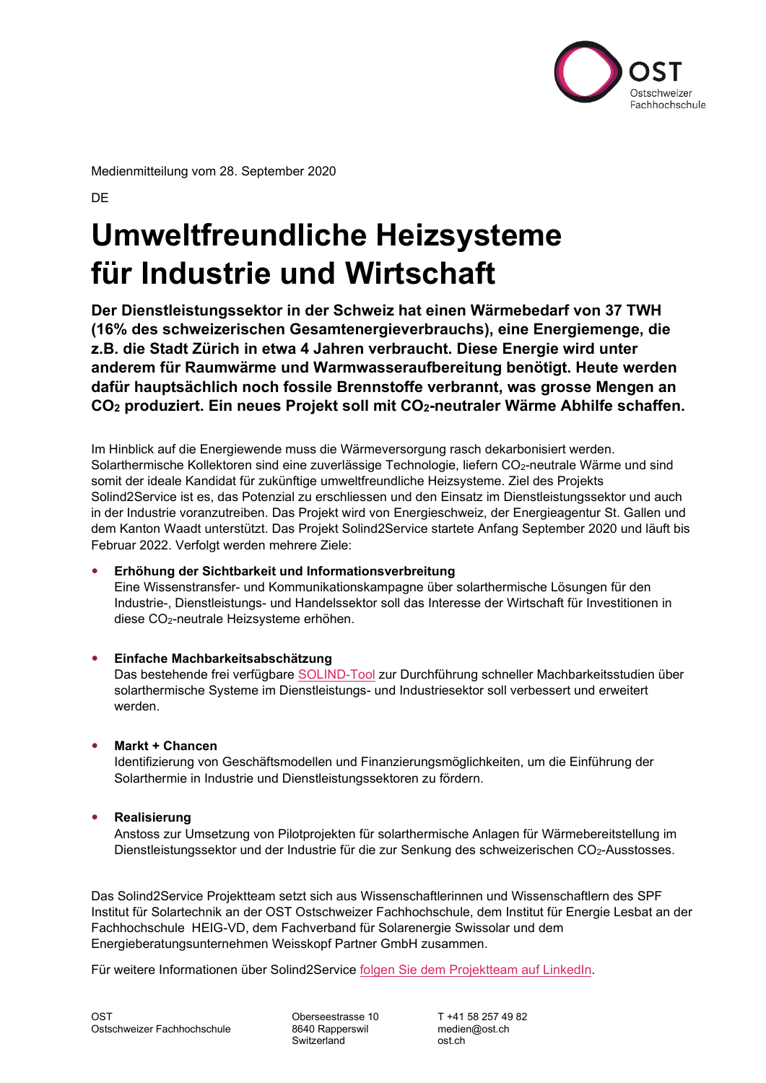

Medienmitteilung vom 28. September 2020

**DE** 

# **Umweltfreundliche Heizsysteme für Industrie und Wirtschaft**

**Der Dienstleistungssektor in der Schweiz hat einen Wärmebedarf von 37 TWH (16% des schweizerischen Gesamtenergieverbrauchs), eine Energiemenge, die z.B. die Stadt Zürich in etwa 4 Jahren verbraucht. Diese Energie wird unter anderem für Raumwärme und Warmwasseraufbereitung benötigt. Heute werden dafür hauptsächlich noch fossile Brennstoffe verbrannt, was grosse Mengen an CO2 produziert. Ein neues Projekt soll mit CO2-neutraler Wärme Abhilfe schaffen.**

Im Hinblick auf die Energiewende muss die Wärmeversorgung rasch dekarbonisiert werden. Solarthermische Kollektoren sind eine zuverlässige Technologie, liefern CO<sub>2</sub>-neutrale Wärme und sind somit der ideale Kandidat für zukünftige umweltfreundliche Heizsysteme. Ziel des Projekts Solind2Service ist es, das Potenzial zu erschliessen und den Einsatz im Dienstleistungssektor und auch in der Industrie voranzutreiben. Das Projekt wird von Energieschweiz, der Energieagentur St. Gallen und dem Kanton Waadt unterstützt. Das Projekt Solind2Service startete Anfang September 2020 und läuft bis Februar 2022. Verfolgt werden mehrere Ziele:

## **Erhöhung der Sichtbarkeit und Informationsverbreitung**

Eine Wissenstransfer- und Kommunikationskampagne über solarthermische Lösungen für den Industrie-, Dienstleistungs- und Handelssektor soll das Interesse der Wirtschaft für Investitionen in diese CO2-neutrale Heizsysteme erhöhen.

## **Einfache Machbarkeitsabschätzung**

Das bestehende frei verfügbare [SOLIND-Tool](https://www.spf.ch/index.php?id=19045&L=6%27) zur Durchführung schneller Machbarkeitsstudien über solarthermische Systeme im Dienstleistungs- und Industriesektor soll verbessert und erweitert werden.

## **Markt + Chancen**

Identifizierung von Geschäftsmodellen und Finanzierungsmöglichkeiten, um die Einführung der Solarthermie in Industrie und Dienstleistungssektoren zu fördern.

## **•** Realisierung

Anstoss zur Umsetzung von Pilotprojekten für solarthermische Anlagen für Wärmebereitstellung im Dienstleistungssektor und der Industrie für die zur Senkung des schweizerischen CO2-Ausstosses.

Das Solind2Service Projektteam setzt sich aus Wissenschaftlerinnen und Wissenschaftlern des SPF Institut für Solartechnik an der OST Ostschweizer Fachhochschule, dem Institut für Energie Lesbat an der Fachhochschule HEIG-VD, dem Fachverband für Solarenergie Swissolar und dem Energieberatungsunternehmen Weisskopf Partner GmbH zusammen.

Für weitere Informationen über Solind2Service [folgen Sie dem Projektteam](https://www.linkedin.com/groups/8979153/) auf LinkedIn.

Switzerland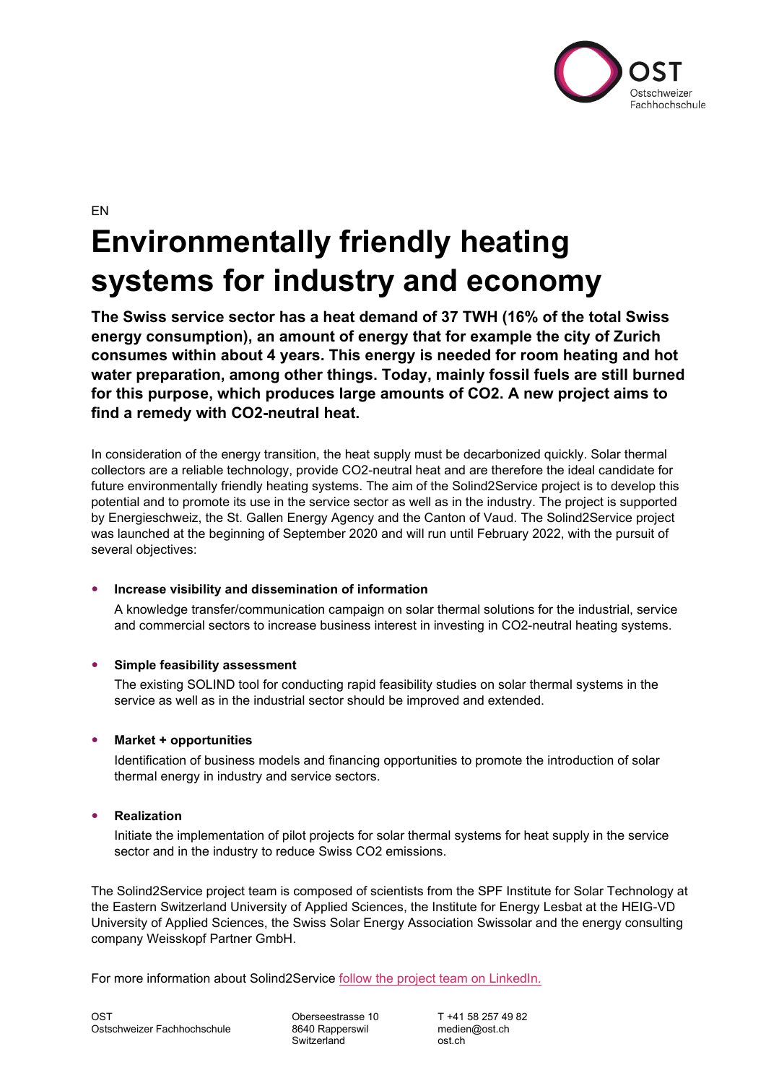

EN

# **Environmentally friendly heating systems for industry and economy**

**The Swiss service sector has a heat demand of 37 TWH (16% of the total Swiss energy consumption), an amount of energy that for example the city of Zurich consumes within about 4 years. This energy is needed for room heating and hot water preparation, among other things. Today, mainly fossil fuels are still burned for this purpose, which produces large amounts of CO2. A new project aims to find a remedy with CO2-neutral heat.**

In consideration of the energy transition, the heat supply must be decarbonized quickly. Solar thermal collectors are a reliable technology, provide CO2-neutral heat and are therefore the ideal candidate for future environmentally friendly heating systems. The aim of the Solind2Service project is to develop this potential and to promote its use in the service sector as well as in the industry. The project is supported by Energieschweiz, the St. Gallen Energy Agency and the Canton of Vaud. The Solind2Service project was launched at the beginning of September 2020 and will run until February 2022, with the pursuit of several objectives:

## **Increase visibility and dissemination of information**

A knowledge transfer/communication campaign on solar thermal solutions for the industrial, service and commercial sectors to increase business interest in investing in CO2-neutral heating systems.

#### **Simple feasibility assessment**

The existing SOLIND tool for conducting rapid feasibility studies on solar thermal systems in the service as well as in the industrial sector should be improved and extended.

## **Market + opportunities**

Identification of business models and financing opportunities to promote the introduction of solar thermal energy in industry and service sectors.

#### **Realization**

Initiate the implementation of pilot projects for solar thermal systems for heat supply in the service sector and in the industry to reduce Swiss CO2 emissions.

The Solind2Service project team is composed of scientists from the SPF Institute for Solar Technology at the Eastern Switzerland University of Applied Sciences, the Institute for Energy Lesbat at the HEIG-VD University of Applied Sciences, the Swiss Solar Energy Association Swissolar and the energy consulting company Weisskopf Partner GmbH.

For more information about Solind2Service [follow the project team on LinkedIn.](https://www.linkedin.com/groups/8979153/)

Switzerland ost.ch